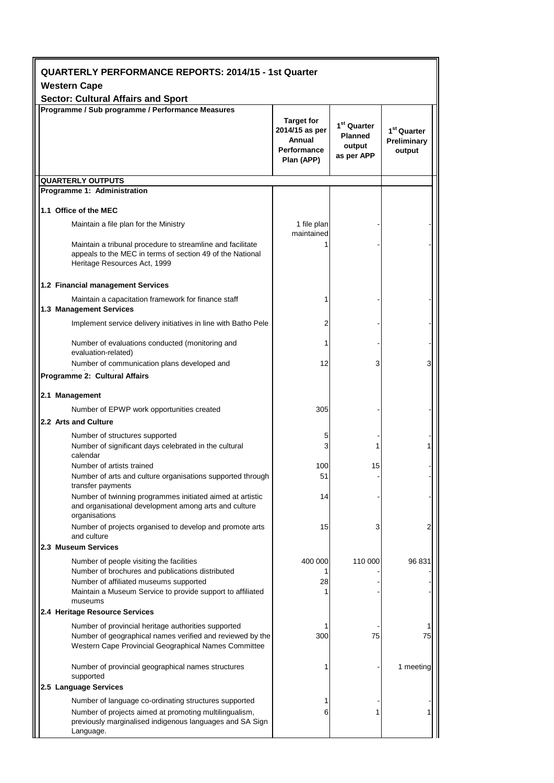| <b>QUARTERLY PERFORMANCE REPORTS: 2014/15 - 1st Quarter</b>      |                                                                                                                                                                                          |                                                                            |                                                                   |                                                  |  |  |
|------------------------------------------------------------------|------------------------------------------------------------------------------------------------------------------------------------------------------------------------------------------|----------------------------------------------------------------------------|-------------------------------------------------------------------|--------------------------------------------------|--|--|
| <b>Western Cape</b><br><b>Sector: Cultural Affairs and Sport</b> |                                                                                                                                                                                          |                                                                            |                                                                   |                                                  |  |  |
|                                                                  | Programme / Sub programme / Performance Measures                                                                                                                                         | <b>Target for</b><br>2014/15 as per<br>Annual<br>Performance<br>Plan (APP) | 1 <sup>st</sup> Quarter<br><b>Planned</b><br>output<br>as per APP | 1 <sup>st</sup> Quarter<br>Preliminary<br>output |  |  |
| <b>QUARTERLY OUTPUTS</b>                                         |                                                                                                                                                                                          |                                                                            |                                                                   |                                                  |  |  |
|                                                                  | Programme 1: Administration                                                                                                                                                              |                                                                            |                                                                   |                                                  |  |  |
| 1.1 Office of the MEC                                            |                                                                                                                                                                                          |                                                                            |                                                                   |                                                  |  |  |
|                                                                  | Maintain a file plan for the Ministry                                                                                                                                                    | 1 file plan<br>maintained                                                  |                                                                   |                                                  |  |  |
|                                                                  | Maintain a tribunal procedure to streamline and facilitate<br>appeals to the MEC in terms of section 49 of the National<br>Heritage Resources Act, 1999                                  |                                                                            |                                                                   |                                                  |  |  |
|                                                                  | 1.2 Financial management Services                                                                                                                                                        |                                                                            |                                                                   |                                                  |  |  |
| 1.3 Management Services                                          | Maintain a capacitation framework for finance staff                                                                                                                                      |                                                                            |                                                                   |                                                  |  |  |
|                                                                  | Implement service delivery initiatives in line with Batho Pele                                                                                                                           | 2                                                                          |                                                                   |                                                  |  |  |
|                                                                  | Number of evaluations conducted (monitoring and<br>evaluation-related)                                                                                                                   | 1                                                                          |                                                                   |                                                  |  |  |
|                                                                  | Number of communication plans developed and<br>Programme 2: Cultural Affairs                                                                                                             | 12                                                                         | 3                                                                 | 3                                                |  |  |
|                                                                  |                                                                                                                                                                                          |                                                                            |                                                                   |                                                  |  |  |
| 2.1 Management                                                   | Number of EPWP work opportunities created                                                                                                                                                | 305                                                                        |                                                                   |                                                  |  |  |
| 2.2 Arts and Culture                                             |                                                                                                                                                                                          |                                                                            |                                                                   |                                                  |  |  |
| calendar                                                         | Number of structures supported<br>Number of significant days celebrated in the cultural                                                                                                  | 5<br>3                                                                     | 1                                                                 |                                                  |  |  |
|                                                                  | Number of artists trained<br>Number of arts and culture organisations supported through<br>transfer payments                                                                             | 100<br>51                                                                  | 15                                                                |                                                  |  |  |
|                                                                  | Number of twinning programmes initiated aimed at artistic<br>and organisational development among arts and culture<br>organisations                                                      | 14                                                                         |                                                                   |                                                  |  |  |
|                                                                  | Number of projects organised to develop and promote arts<br>and culture                                                                                                                  | 15                                                                         | 3                                                                 | 2                                                |  |  |
| 2.3 Museum Services                                              |                                                                                                                                                                                          |                                                                            |                                                                   |                                                  |  |  |
|                                                                  | Number of people visiting the facilities<br>Number of brochures and publications distributed<br>Number of affiliated museums supported                                                   | 400 000<br>1<br>28                                                         | 110 000                                                           | 96 831                                           |  |  |
| museums                                                          | Maintain a Museum Service to provide support to affiliated<br>2.4 Heritage Resource Services                                                                                             |                                                                            |                                                                   |                                                  |  |  |
|                                                                  | Number of provincial heritage authorities supported                                                                                                                                      |                                                                            |                                                                   |                                                  |  |  |
|                                                                  | Number of geographical names verified and reviewed by the<br>Western Cape Provincial Geographical Names Committee                                                                        | 300                                                                        | 75                                                                | 75                                               |  |  |
| supported                                                        | Number of provincial geographical names structures                                                                                                                                       |                                                                            |                                                                   | 1 meeting                                        |  |  |
| 2.5 Language Services                                            |                                                                                                                                                                                          |                                                                            |                                                                   |                                                  |  |  |
|                                                                  | Number of language co-ordinating structures supported<br>Number of projects aimed at promoting multilingualism,<br>previously marginalised indigenous languages and SA Sign<br>Language. | 6                                                                          | 1                                                                 |                                                  |  |  |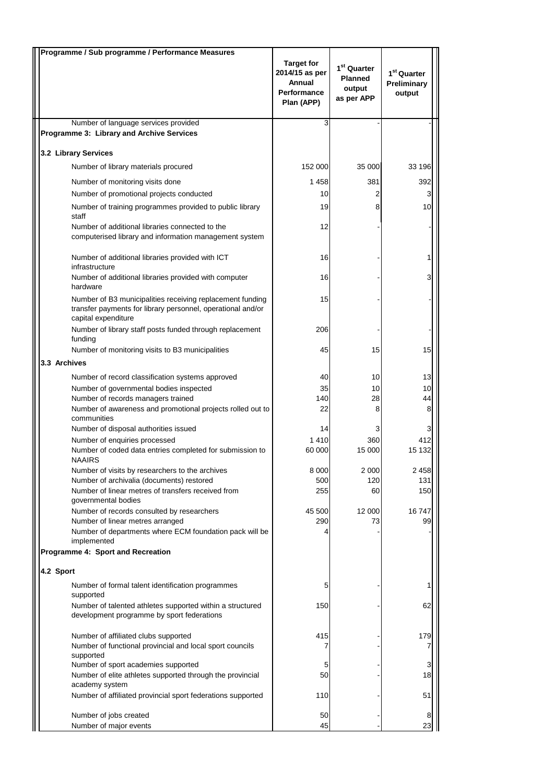| Programme / Sub programme / Performance Measures                                                                                                |                                                                                   |                                                                   |                                                  |
|-------------------------------------------------------------------------------------------------------------------------------------------------|-----------------------------------------------------------------------------------|-------------------------------------------------------------------|--------------------------------------------------|
|                                                                                                                                                 | <b>Target for</b><br>2014/15 as per<br>Annual<br><b>Performance</b><br>Plan (APP) | 1 <sup>st</sup> Quarter<br><b>Planned</b><br>output<br>as per APP | 1 <sup>st</sup> Quarter<br>Preliminary<br>output |
| Number of language services provided                                                                                                            | 3                                                                                 |                                                                   |                                                  |
| Programme 3: Library and Archive Services                                                                                                       |                                                                                   |                                                                   |                                                  |
| 3.2 Library Services                                                                                                                            |                                                                                   |                                                                   |                                                  |
| Number of library materials procured                                                                                                            | 152 000                                                                           | 35 000                                                            | 33 196                                           |
| Number of monitoring visits done                                                                                                                | 1458                                                                              | 381                                                               | 392                                              |
| Number of promotional projects conducted                                                                                                        | 10                                                                                | 2                                                                 | 3                                                |
| Number of training programmes provided to public library<br>staff                                                                               | 19                                                                                | 8                                                                 | 10 <sup>1</sup>                                  |
| Number of additional libraries connected to the<br>computerised library and information management system                                       | 12                                                                                |                                                                   |                                                  |
| Number of additional libraries provided with ICT<br>infrastructure                                                                              | 16                                                                                |                                                                   |                                                  |
| Number of additional libraries provided with computer<br>hardware                                                                               | 16                                                                                |                                                                   | 3                                                |
| Number of B3 municipalities receiving replacement funding<br>transfer payments for library personnel, operational and/or<br>capital expenditure | 15                                                                                |                                                                   |                                                  |
| Number of library staff posts funded through replacement<br>funding                                                                             | 206                                                                               |                                                                   |                                                  |
| Number of monitoring visits to B3 municipalities                                                                                                | 45                                                                                | 15                                                                | 15                                               |
| 3.3 Archives                                                                                                                                    |                                                                                   |                                                                   |                                                  |
| Number of record classification systems approved                                                                                                | 40                                                                                | 10                                                                | 13                                               |
| Number of governmental bodies inspected<br>Number of records managers trained                                                                   | 35<br>140                                                                         | 10<br>28                                                          | 10 <sup>1</sup><br>44                            |
| Number of awareness and promotional projects rolled out to<br>communities                                                                       | 22                                                                                | 8                                                                 | 8                                                |
| Number of disposal authorities issued                                                                                                           | 14                                                                                |                                                                   | 3                                                |
| Number of enquiries processed                                                                                                                   | 1410                                                                              | 360                                                               | 412                                              |
| Number of coded data entries completed for submission to<br><b>NAAIRS</b>                                                                       | 60 000                                                                            | 15 000                                                            | 15 132                                           |
| Number of visits by researchers to the archives                                                                                                 | 8 0 0 0                                                                           | 2 0 0 0                                                           | 2458                                             |
| Number of archivalia (documents) restored<br>Number of linear metres of transfers received from                                                 | 500<br>255                                                                        | 120<br>60                                                         | 131<br>150                                       |
| governmental bodies                                                                                                                             |                                                                                   |                                                                   |                                                  |
| Number of records consulted by researchers                                                                                                      | 45 500                                                                            | 12 000                                                            | 16747                                            |
| Number of linear metres arranged<br>Number of departments where ECM foundation pack will be                                                     | 290<br>4                                                                          | 73                                                                | 99                                               |
| implemented                                                                                                                                     |                                                                                   |                                                                   |                                                  |
| Programme 4: Sport and Recreation                                                                                                               |                                                                                   |                                                                   |                                                  |
| 4.2 Sport                                                                                                                                       |                                                                                   |                                                                   |                                                  |
| Number of formal talent identification programmes<br>supported                                                                                  | 5                                                                                 |                                                                   |                                                  |
| Number of talented athletes supported within a structured<br>development programme by sport federations                                         | 150                                                                               |                                                                   | 62                                               |
| Number of affiliated clubs supported                                                                                                            | 415                                                                               |                                                                   | 179                                              |
| Number of functional provincial and local sport councils                                                                                        | 7                                                                                 |                                                                   | 7                                                |
| supported<br>Number of sport academies supported                                                                                                | 5                                                                                 |                                                                   | 3                                                |
| Number of elite athletes supported through the provincial                                                                                       | 50                                                                                |                                                                   | 18                                               |
| academy system<br>Number of affiliated provincial sport federations supported                                                                   | 110                                                                               |                                                                   | 51                                               |
|                                                                                                                                                 |                                                                                   |                                                                   |                                                  |
| Number of jobs created<br>Number of major events                                                                                                | 50<br>45                                                                          |                                                                   | 8<br>23                                          |